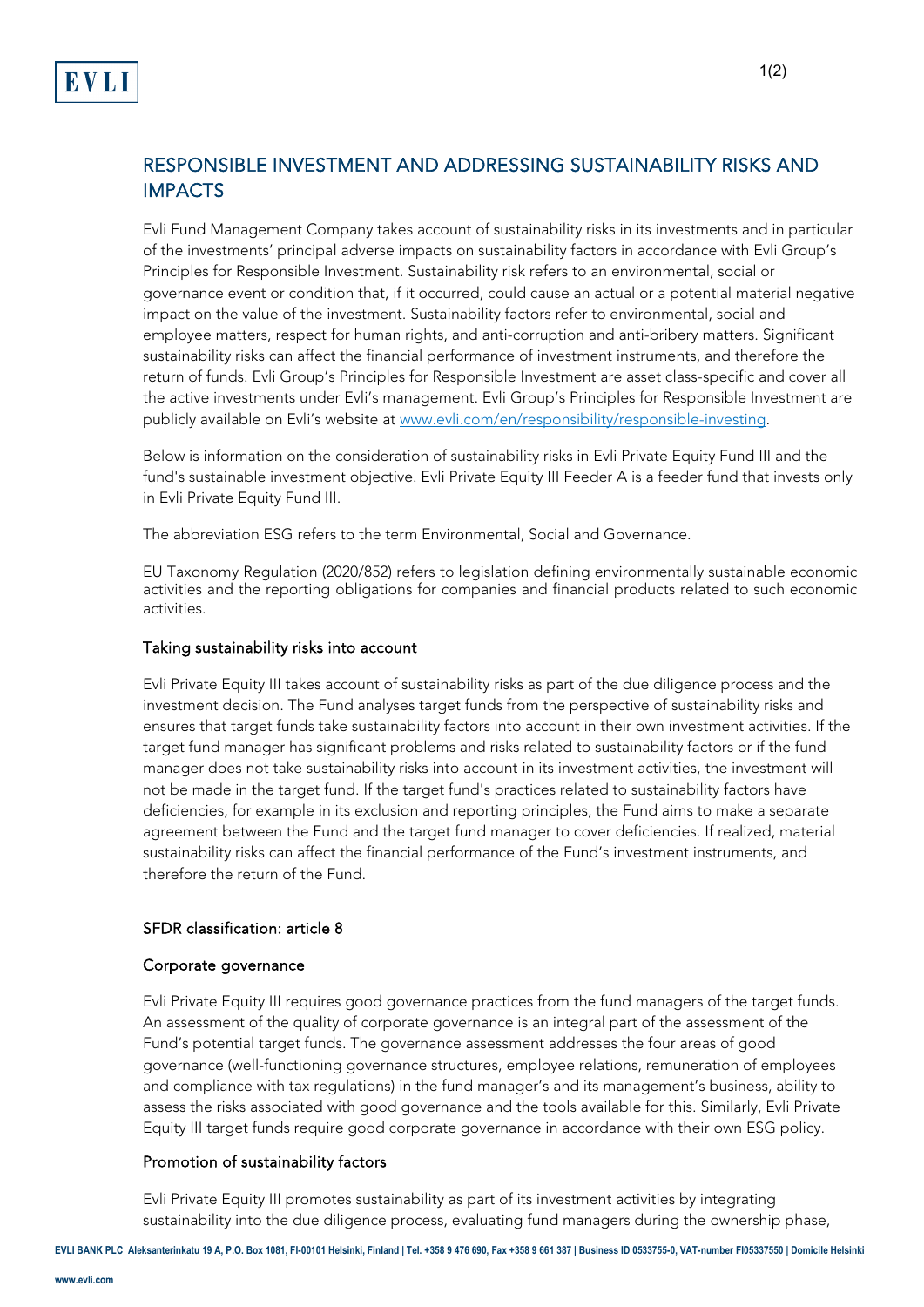# RESPONSIBLE INVESTMENT AND ADDRESSING SUSTAINABILITY RISKS AND IMPACTS

Evli Fund Management Company takes account of sustainability risks in its investments and in particular of the investments' principal adverse impacts on sustainability factors in accordance with Evli Group's Principles for Responsible Investment. Sustainability risk refers to an environmental, social or governance event or condition that, if it occurred, could cause an actual or a potential material negative impact on the value of the investment. Sustainability factors refer to environmental, social and employee matters, respect for human rights, and anti-corruption and anti-bribery matters. Significant sustainability risks can affect the financial performance of investment instruments, and therefore the return of funds. Evli Group's Principles for Responsible Investment are asset class-specific and cover all the active investments under Evli's management. Evli Group's Principles for Responsible Investment are publicly available on Evli's website a[t www.evli.com/en/responsibility/responsible-investing.](http://www.evli.com/en/responsibility/responsible-investing)

Below is information on the consideration of sustainability risks in Evli Private Equity Fund III and the fund's sustainable investment objective. Evli Private Equity III Feeder A is a feeder fund that invests only in Evli Private Equity Fund III.

The abbreviation ESG refers to the term Environmental, Social and Governance.

EU Taxonomy Regulation (2020/852) refers to legislation defining environmentally sustainable economic activities and the reporting obligations for companies and financial products related to such economic activities.

#### Taking sustainability risks into account

Evli Private Equity III takes account of sustainability risks as part of the due diligence process and the investment decision. The Fund analyses target funds from the perspective of sustainability risks and ensures that target funds take sustainability factors into account in their own investment activities. If the target fund manager has significant problems and risks related to sustainability factors or if the fund manager does not take sustainability risks into account in its investment activities, the investment will not be made in the target fund. If the target fund's practices related to sustainability factors have deficiencies, for example in its exclusion and reporting principles, the Fund aims to make a separate agreement between the Fund and the target fund manager to cover deficiencies. If realized, material sustainability risks can affect the financial performance of the Fund's investment instruments, and therefore the return of the Fund.

### SFDR classification: article 8

#### Corporate governance

Evli Private Equity III requires good governance practices from the fund managers of the target funds. An assessment of the quality of corporate governance is an integral part of the assessment of the Fund's potential target funds. The governance assessment addresses the four areas of good governance (well-functioning governance structures, employee relations, remuneration of employees and compliance with tax regulations) in the fund manager's and its management's business, ability to assess the risks associated with good governance and the tools available for this. Similarly, Evli Private Equity III target funds require good corporate governance in accordance with their own ESG policy.

## Promotion of sustainability factors

Evli Private Equity III promotes sustainability as part of its investment activities by integrating sustainability into the due diligence process, evaluating fund managers during the ownership phase,